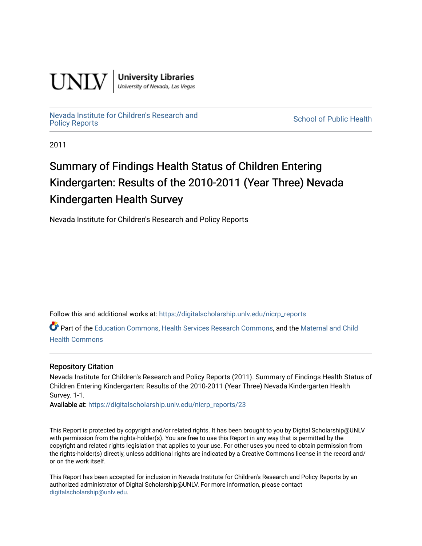

**University Libraries**<br>University of Nevada, Las Vegas

## [Nevada Institute for Children's Research and](https://digitalscholarship.unlv.edu/nicrp_reports)

**School of Public Health** 

2011

### Summary of Findings Health Status of Children Entering Kindergarten: Results of the 2010-2011 (Year Three) Nevada Kindergarten Health Survey

Nevada Institute for Children's Research and Policy Reports

Follow this and additional works at: [https://digitalscholarship.unlv.edu/nicrp\\_reports](https://digitalscholarship.unlv.edu/nicrp_reports?utm_source=digitalscholarship.unlv.edu%2Fnicrp_reports%2F23&utm_medium=PDF&utm_campaign=PDFCoverPages)

Part of the [Education Commons](http://network.bepress.com/hgg/discipline/784?utm_source=digitalscholarship.unlv.edu%2Fnicrp_reports%2F23&utm_medium=PDF&utm_campaign=PDFCoverPages), [Health Services Research Commons](http://network.bepress.com/hgg/discipline/816?utm_source=digitalscholarship.unlv.edu%2Fnicrp_reports%2F23&utm_medium=PDF&utm_campaign=PDFCoverPages), and the Maternal and Child [Health Commons](http://network.bepress.com/hgg/discipline/745?utm_source=digitalscholarship.unlv.edu%2Fnicrp_reports%2F23&utm_medium=PDF&utm_campaign=PDFCoverPages) 

#### Repository Citation

Nevada Institute for Children's Research and Policy Reports (2011). Summary of Findings Health Status of Children Entering Kindergarten: Results of the 2010-2011 (Year Three) Nevada Kindergarten Health Survey. 1-1.

Available at: [https://digitalscholarship.unlv.edu/nicrp\\_reports/23](https://digitalscholarship.unlv.edu/nicrp_reports/23) 

This Report is protected by copyright and/or related rights. It has been brought to you by Digital Scholarship@UNLV with permission from the rights-holder(s). You are free to use this Report in any way that is permitted by the copyright and related rights legislation that applies to your use. For other uses you need to obtain permission from the rights-holder(s) directly, unless additional rights are indicated by a Creative Commons license in the record and/ or on the work itself.

This Report has been accepted for inclusion in Nevada Institute for Children's Research and Policy Reports by an authorized administrator of Digital Scholarship@UNLV. For more information, please contact [digitalscholarship@unlv.edu](mailto:digitalscholarship@unlv.edu).